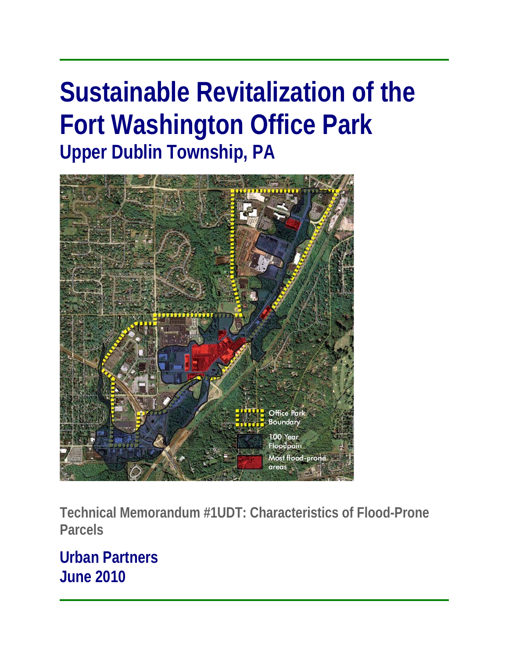# **Sustainable Revitalization of the Fort Washington Office Park Upper Dublin Township, PA**



**Technical Memorandum #1UDT: Characteristics of Flood-Prone Parcels** 

**Urban Partners June 2010**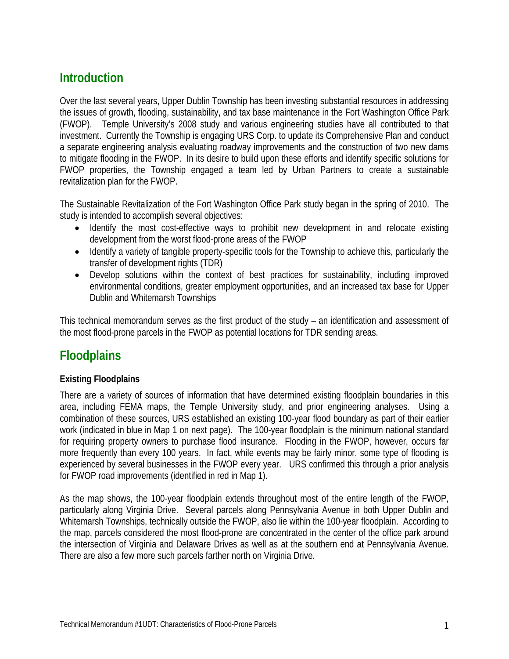# **Introduction**

Over the last several years, Upper Dublin Township has been investing substantial resources in addressing the issues of growth, flooding, sustainability, and tax base maintenance in the Fort Washington Office Park (FWOP). Temple University's 2008 study and various engineering studies have all contributed to that investment. Currently the Township is engaging URS Corp. to update its Comprehensive Plan and conduct a separate engineering analysis evaluating roadway improvements and the construction of two new dams to mitigate flooding in the FWOP. In its desire to build upon these efforts and identify specific solutions for FWOP properties, the Township engaged a team led by Urban Partners to create a sustainable revitalization plan for the FWOP.

The Sustainable Revitalization of the Fort Washington Office Park study began in the spring of 2010. The study is intended to accomplish several objectives:

- Identify the most cost-effective ways to prohibit new development in and relocate existing development from the worst flood-prone areas of the FWOP
- Identify a variety of tangible property-specific tools for the Township to achieve this, particularly the transfer of development rights (TDR)
- Develop solutions within the context of best practices for sustainability, including improved environmental conditions, greater employment opportunities, and an increased tax base for Upper Dublin and Whitemarsh Townships

This technical memorandum serves as the first product of the study – an identification and assessment of the most flood-prone parcels in the FWOP as potential locations for TDR sending areas.

# **Floodplains**

# **Existing Floodplains**

There are a variety of sources of information that have determined existing floodplain boundaries in this area, including FEMA maps, the Temple University study, and prior engineering analyses. Using a combination of these sources, URS established an existing 100-year flood boundary as part of their earlier work (indicated in blue in Map 1 on next page). The 100-year floodplain is the minimum national standard for requiring property owners to purchase flood insurance. Flooding in the FWOP, however, occurs far more frequently than every 100 years. In fact, while events may be fairly minor, some type of flooding is experienced by several businesses in the FWOP every year. URS confirmed this through a prior analysis for FWOP road improvements (identified in red in Map 1).

As the map shows, the 100-year floodplain extends throughout most of the entire length of the FWOP, particularly along Virginia Drive. Several parcels along Pennsylvania Avenue in both Upper Dublin and Whitemarsh Townships, technically outside the FWOP, also lie within the 100-year floodplain. According to the map, parcels considered the most flood-prone are concentrated in the center of the office park around the intersection of Virginia and Delaware Drives as well as at the southern end at Pennsylvania Avenue. There are also a few more such parcels farther north on Virginia Drive.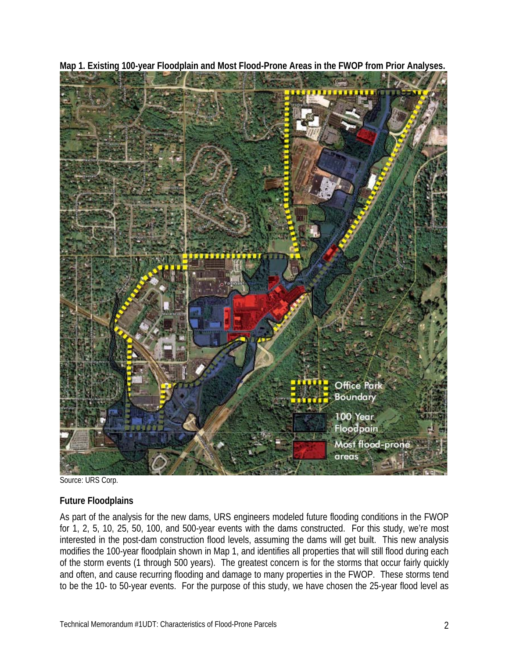

**Map 1. Existing 100-year Floodplain and Most Flood-Prone Areas in the FWOP from Prior Analyses.** 

Source: URS Corp.

#### **Future Floodplains**

As part of the analysis for the new dams, URS engineers modeled future flooding conditions in the FWOP for 1, 2, 5, 10, 25, 50, 100, and 500-year events with the dams constructed. For this study, we're most interested in the post-dam construction flood levels, assuming the dams will get built. This new analysis modifies the 100-year floodplain shown in Map 1, and identifies all properties that will still flood during each of the storm events (1 through 500 years). The greatest concern is for the storms that occur fairly quickly and often, and cause recurring flooding and damage to many properties in the FWOP. These storms tend to be the 10- to 50-year events. For the purpose of this study, we have chosen the 25-year flood level as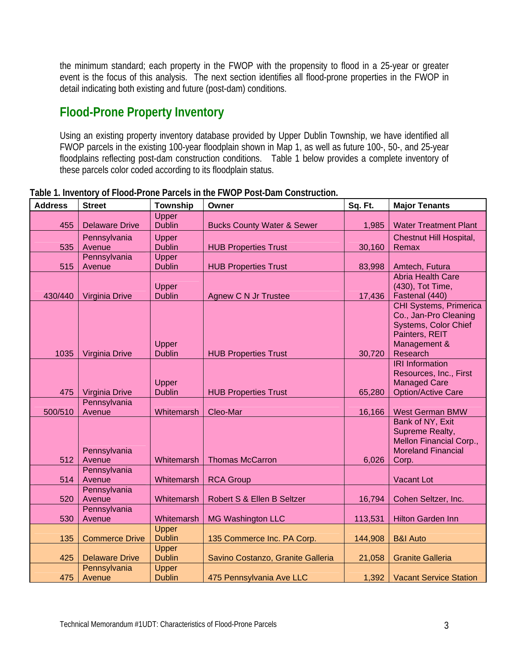the minimum standard; each property in the FWOP with the propensity to flood in a 25-year or greater event is the focus of this analysis. The next section identifies all flood-prone properties in the FWOP in detail indicating both existing and future (post-dam) conditions.

# **Flood-Prone Property Inventory**

Using an existing property inventory database provided by Upper Dublin Township, we have identified all FWOP parcels in the existing 100-year floodplain shown in Map 1, as well as future 100-, 50-, and 25-year floodplains reflecting post-dam construction conditions. Table 1 below provides a complete inventory of these parcels color coded according to its floodplain status.

| <b>Address</b> | <b>Street</b>         | <b>Township</b>        | Owner                                 | Sq. Ft. | <b>Major Tenants</b>                       |
|----------------|-----------------------|------------------------|---------------------------------------|---------|--------------------------------------------|
|                |                       | Upper                  |                                       |         |                                            |
| 455            | <b>Delaware Drive</b> | <b>Dublin</b>          | <b>Bucks County Water &amp; Sewer</b> | 1,985   | <b>Water Treatment Plant</b>               |
|                | Pennsylvania          | Upper                  |                                       |         | Chestnut Hill Hospital,                    |
| 535            | Avenue                | <b>Dublin</b>          | <b>HUB Properties Trust</b>           | 30,160  | Remax                                      |
|                | Pennsylvania          | Upper                  |                                       |         |                                            |
| 515            | Avenue                | <b>Dublin</b>          | <b>HUB Properties Trust</b>           | 83,998  | Amtech, Futura                             |
|                |                       |                        |                                       |         | <b>Abria Health Care</b>                   |
| 430/440        | Virginia Drive        | Upper<br><b>Dublin</b> | <b>Agnew C N Jr Trustee</b>           | 17,436  | (430), Tot Time,<br>Fastenal (440)         |
|                |                       |                        |                                       |         | CHI Systems, Primerica                     |
|                |                       |                        |                                       |         | Co., Jan-Pro Cleaning                      |
|                |                       |                        |                                       |         | Systems, Color Chief                       |
|                |                       |                        |                                       |         | Painters, REIT                             |
|                |                       | Upper                  |                                       |         | Management &                               |
| 1035           | Virginia Drive        | <b>Dublin</b>          | <b>HUB Properties Trust</b>           | 30,720  | Research                                   |
|                |                       |                        |                                       |         | <b>IRI</b> Information                     |
|                |                       |                        |                                       |         | Resources, Inc., First                     |
|                |                       | Upper                  |                                       |         | <b>Managed Care</b>                        |
| 475            | Virginia Drive        | <b>Dublin</b>          | <b>HUB Properties Trust</b>           | 65,280  | <b>Option/Active Care</b>                  |
|                | Pennsylvania          |                        |                                       |         |                                            |
| 500/510        | Avenue                | Whitemarsh             | Cleo-Mar                              | 16,166  | <b>West German BMW</b><br>Bank of NY, Exit |
|                |                       |                        |                                       |         | Supreme Realty,                            |
|                |                       |                        |                                       |         | Mellon Financial Corp.,                    |
|                | Pennsylvania          |                        |                                       |         | <b>Moreland Financial</b>                  |
| 512            | Avenue                | Whitemarsh             | <b>Thomas McCarron</b>                | 6,026   | Corp.                                      |
|                | Pennsylvania          |                        |                                       |         |                                            |
| 514            | Avenue                | Whitemarsh             | <b>RCA Group</b>                      |         | <b>Vacant Lot</b>                          |
|                | Pennsylvania          |                        |                                       |         |                                            |
| 520            | Avenue                | Whitemarsh             | Robert S & Ellen B Seltzer            | 16,794  | Cohen Seltzer, Inc.                        |
|                | Pennsylvania          |                        |                                       |         |                                            |
| 530            | Avenue                | Whitemarsh             | <b>MG Washington LLC</b>              | 113,531 | <b>Hilton Garden Inn</b>                   |
|                |                       | Upper<br><b>Dublin</b> |                                       |         |                                            |
| 135            | <b>Commerce Drive</b> | Upper                  | 135 Commerce Inc. PA Corp.            | 144,908 | <b>B&amp;I Auto</b>                        |
| 425            | <b>Delaware Drive</b> | <b>Dublin</b>          | Savino Costanzo, Granite Galleria     | 21,058  | <b>Granite Galleria</b>                    |
|                | Pennsylvania          | Upper                  |                                       |         |                                            |
| 475            | Avenue                | <b>Dublin</b>          | 475 Pennsylvania Ave LLC              | 1,392   | <b>Vacant Service Station</b>              |

**Table 1. Inventory of Flood-Prone Parcels in the FWOP Post-Dam Construction.**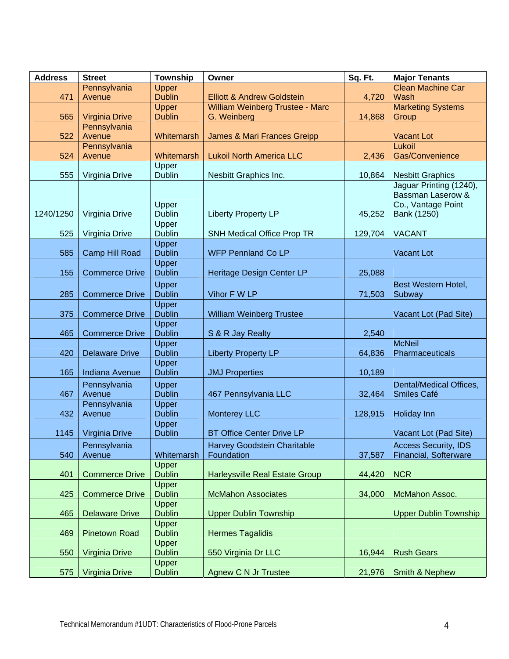| <b>Address</b> | <b>Street</b>          | Township                      | Owner                                          | Sq. Ft. | <b>Major Tenants</b>                                    |  |
|----------------|------------------------|-------------------------------|------------------------------------------------|---------|---------------------------------------------------------|--|
|                | Pennsylvania           | <b>Upper</b>                  |                                                |         | <b>Clean Machine Car</b>                                |  |
| 471            | Avenue                 | <b>Dublin</b>                 | <b>Elliott &amp; Andrew Goldstein</b>          | 4,720   | Wash                                                    |  |
| 565            | <b>Virginia Drive</b>  | Upper<br><b>Dublin</b>        | William Weinberg Trustee - Marc<br>G. Weinberg | 14,868  | <b>Marketing Systems</b><br>Group                       |  |
|                | Pennsylvania           |                               |                                                |         |                                                         |  |
| 522            | Avenue                 | Whitemarsh                    | James & Mari Frances Greipp                    |         | <b>Vacant Lot</b>                                       |  |
|                | Pennsylvania           |                               |                                                |         | Lukoil                                                  |  |
| 524            | Avenue                 | Whitemarsh                    | <b>Lukoil North America LLC</b>                | 2,436   | Gas/Convenience                                         |  |
| 555            | Virginia Drive         | Upper<br><b>Dublin</b>        | Nesbitt Graphics Inc.                          | 10,864  | <b>Nesbitt Graphics</b>                                 |  |
|                |                        |                               |                                                |         | Jaguar Printing (1240),<br><b>Bassman Laserow &amp;</b> |  |
|                |                        | Upper                         |                                                |         | Co., Vantage Point                                      |  |
| 1240/1250      | Virginia Drive         | <b>Dublin</b>                 | <b>Liberty Property LP</b>                     | 45,252  | Bank (1250)                                             |  |
|                |                        | Upper                         |                                                |         |                                                         |  |
| 525            | Virginia Drive         | <b>Dublin</b>                 | <b>SNH Medical Office Prop TR</b>              | 129,704 | <b>VACANT</b>                                           |  |
|                |                        | Upper                         |                                                |         |                                                         |  |
| 585            | Camp Hill Road         | <b>Dublin</b>                 | <b>WFP Pennland Co LP</b>                      |         | Vacant Lot                                              |  |
| 155            | <b>Commerce Drive</b>  | Upper<br><b>Dublin</b>        | Heritage Design Center LP                      | 25,088  |                                                         |  |
|                |                        | Upper                         |                                                |         | Best Western Hotel,                                     |  |
| 285            | <b>Commerce Drive</b>  | <b>Dublin</b>                 | Vihor F W LP                                   | 71,503  | Subway                                                  |  |
|                |                        | Upper                         |                                                |         |                                                         |  |
| 375            | <b>Commerce Drive</b>  | <b>Dublin</b>                 | William Weinberg Trustee                       |         | Vacant Lot (Pad Site)                                   |  |
| 465            | <b>Commerce Drive</b>  | <b>Upper</b><br><b>Dublin</b> | S & R Jay Realty                               | 2,540   |                                                         |  |
|                |                        | <b>Upper</b>                  |                                                |         | <b>McNeil</b>                                           |  |
| 420            | <b>Delaware Drive</b>  | <b>Dublin</b>                 | <b>Liberty Property LP</b>                     | 64,836  | Pharmaceuticals                                         |  |
|                |                        | Upper                         |                                                |         |                                                         |  |
| 165            | <b>Indiana Avenue</b>  | <b>Dublin</b>                 | <b>JMJ Properties</b>                          | 10,189  |                                                         |  |
|                | Pennsylvania           | Upper                         |                                                |         | Dental/Medical Offices,                                 |  |
| 467            | Avenue<br>Pennsylvania | <b>Dublin</b>                 | 467 Pennsylvania LLC                           | 32,464  | Smiles Café                                             |  |
| 432            | Avenue                 | Upper<br><b>Dublin</b>        | <b>Monterey LLC</b>                            | 128,915 | Holiday Inn                                             |  |
|                |                        | Upper                         |                                                |         |                                                         |  |
| 1145           | Virginia Drive         | <b>Dublin</b>                 | <b>BT Office Center Drive LP</b>               |         | Vacant Lot (Pad Site)                                   |  |
|                | Pennsylvania           |                               | <b>Harvey Goodstein Charitable</b>             |         | <b>Access Security, IDS</b>                             |  |
| 540            | Avenue                 | Whitemarsh                    | Foundation                                     | 37,587  | Financial, Softerware                                   |  |
| 401            | <b>Commerce Drive</b>  | Upper<br><b>Dublin</b>        | Harleysville Real Estate Group                 | 44,420  | <b>NCR</b>                                              |  |
|                |                        | Upper                         |                                                |         |                                                         |  |
| 425            | <b>Commerce Drive</b>  | <b>Dublin</b>                 | <b>McMahon Associates</b>                      | 34,000  | McMahon Assoc.                                          |  |
|                |                        | Upper                         |                                                |         |                                                         |  |
| 465            | <b>Delaware Drive</b>  | <b>Dublin</b><br><b>Upper</b> | <b>Upper Dublin Township</b>                   |         | <b>Upper Dublin Township</b>                            |  |
| 469            | <b>Pinetown Road</b>   | <b>Dublin</b>                 | <b>Hermes Tagalidis</b>                        |         |                                                         |  |
|                |                        | Upper                         |                                                |         |                                                         |  |
| 550            | Virginia Drive         | <b>Dublin</b>                 | 550 Virginia Dr LLC                            | 16,944  | <b>Rush Gears</b>                                       |  |
|                |                        | <b>Upper</b>                  |                                                |         |                                                         |  |
| 575            | Virginia Drive         | <b>Dublin</b>                 | <b>Agnew C N Jr Trustee</b>                    | 21,976  | Smith & Nephew                                          |  |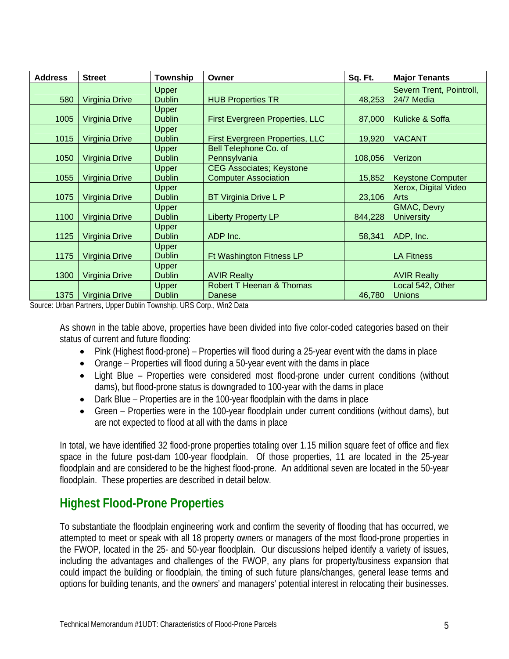| <b>Address</b> | <b>Street</b>         | <b>Township</b> | Owner                               | Sq. Ft. | <b>Major Tenants</b>     |  |
|----------------|-----------------------|-----------------|-------------------------------------|---------|--------------------------|--|
|                |                       | <b>Upper</b>    |                                     |         | Severn Trent, Pointroll, |  |
| 580            | Virginia Drive        | <b>Dublin</b>   | <b>HUB Properties TR</b>            | 48,253  | 24/7 Media               |  |
|                |                       | Upper           |                                     |         |                          |  |
| 1005           | Virginia Drive        | <b>Dublin</b>   | First Evergreen Properties, LLC     | 87,000  | Kulicke & Soffa          |  |
|                |                       | Upper           |                                     |         |                          |  |
| 1015           | Virginia Drive        | <b>Dublin</b>   | First Evergreen Properties, LLC     | 19,920  | <b>VACANT</b>            |  |
|                |                       | Upper           | Bell Telephone Co. of               |         |                          |  |
| 1050           | Virginia Drive        | <b>Dublin</b>   | Pennsylvania                        | 108,056 | Verizon                  |  |
|                |                       | Upper           | <b>CEG Associates; Keystone</b>     |         |                          |  |
| 1055           | <b>Virginia Drive</b> | <b>Dublin</b>   | <b>Computer Association</b>         | 15,852  | <b>Keystone Computer</b> |  |
|                |                       | <b>Upper</b>    |                                     |         | Xerox, Digital Video     |  |
| 1075           | <b>Virginia Drive</b> | <b>Dublin</b>   | <b>BT Virginia Drive L P</b>        | 23,106  | Arts                     |  |
|                |                       | <b>Upper</b>    |                                     |         | GMAC, Devry              |  |
| 1100           | Virginia Drive        | <b>Dublin</b>   | <b>Liberty Property LP</b>          | 844,228 | <b>University</b>        |  |
|                |                       | <b>Upper</b>    |                                     |         |                          |  |
| 1125           | Virginia Drive        | <b>Dublin</b>   | ADP Inc.                            | 58,341  | ADP, Inc.                |  |
|                |                       | Upper           |                                     |         |                          |  |
| 1175           | Virginia Drive        | <b>Dublin</b>   | Ft Washington Fitness LP            |         | <b>LA Fitness</b>        |  |
|                |                       | Upper           |                                     |         |                          |  |
| 1300           | Virginia Drive        | <b>Dublin</b>   | <b>AVIR Realty</b>                  |         | <b>AVIR Realty</b>       |  |
|                |                       | Upper           | <b>Robert T Heenan &amp; Thomas</b> |         | Local 542, Other         |  |
| 1375           | Virginia Drive        | <b>Dublin</b>   | Danese                              | 46,780  | <b>Unions</b>            |  |

Source: Urban Partners, Upper Dublin Township, URS Corp., Win2 Data

As shown in the table above, properties have been divided into five color-coded categories based on their status of current and future flooding:

- Pink (Highest flood-prone) Properties will flood during a 25-year event with the dams in place
- Orange Properties will flood during a 50-year event with the dams in place
- Light Blue Properties were considered most flood-prone under current conditions (without dams), but flood-prone status is downgraded to 100-year with the dams in place
- Dark Blue Properties are in the 100-year floodplain with the dams in place
- Green Properties were in the 100-year floodplain under current conditions (without dams), but are not expected to flood at all with the dams in place

In total, we have identified 32 flood-prone properties totaling over 1.15 million square feet of office and flex space in the future post-dam 100-year floodplain. Of those properties, 11 are located in the 25-year floodplain and are considered to be the highest flood-prone. An additional seven are located in the 50-year floodplain. These properties are described in detail below.

# **Highest Flood-Prone Properties**

To substantiate the floodplain engineering work and confirm the severity of flooding that has occurred, we attempted to meet or speak with all 18 property owners or managers of the most flood-prone properties in the FWOP, located in the 25- and 50-year floodplain. Our discussions helped identify a variety of issues, including the advantages and challenges of the FWOP, any plans for property/business expansion that could impact the building or floodplain, the timing of such future plans/changes, general lease terms and options for building tenants, and the owners' and managers' potential interest in relocating their businesses.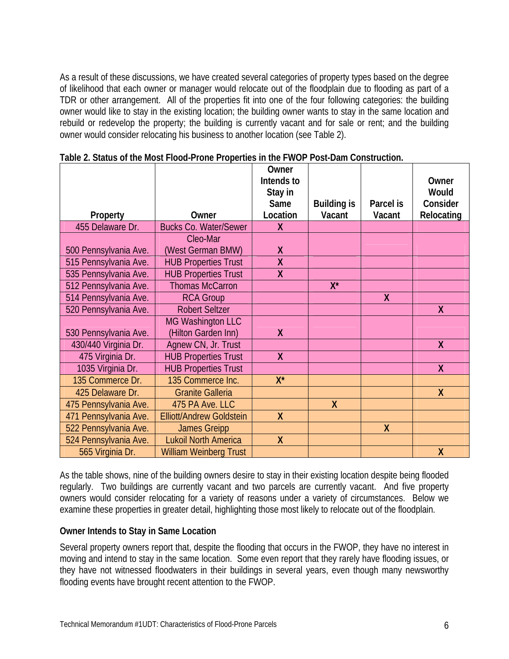As a result of these discussions, we have created several categories of property types based on the degree of likelihood that each owner or manager would relocate out of the floodplain due to flooding as part of a TDR or other arrangement. All of the properties fit into one of the four following categories: the building owner would like to stay in the existing location; the building owner wants to stay in the same location and rebuild or redevelop the property; the building is currently vacant and for sale or rent; and the building owner would consider relocating his business to another location (see Table 2).

|                       |                                 | Owner                   |                    |           |            |
|-----------------------|---------------------------------|-------------------------|--------------------|-----------|------------|
|                       |                                 | Intends to              |                    |           | Owner      |
|                       |                                 | Stay in                 |                    |           | Would      |
|                       |                                 | Same                    | <b>Building is</b> | Parcel is | Consider   |
| Property              | Owner                           | Location                | Vacant             | Vacant    | Relocating |
| 455 Delaware Dr.      | <b>Bucks Co. Water/Sewer</b>    | X                       |                    |           |            |
|                       | Cleo-Mar                        |                         |                    |           |            |
| 500 Pennsylvania Ave. | (West German BMW)               | X                       |                    |           |            |
| 515 Pennsylvania Ave. | <b>HUB Properties Trust</b>     | $\overline{\mathsf{X}}$ |                    |           |            |
| 535 Pennsylvania Ave. | <b>HUB Properties Trust</b>     | X                       |                    |           |            |
| 512 Pennsylvania Ave. | <b>Thomas McCarron</b>          |                         | $X^*$              |           |            |
| 514 Pennsylvania Ave. | <b>RCA Group</b>                |                         |                    | X         |            |
| 520 Pennsylvania Ave. | <b>Robert Seltzer</b>           |                         |                    |           | X          |
|                       | MG Washington LLC               |                         |                    |           |            |
| 530 Pennsylvania Ave. | (Hilton Garden Inn)             | X                       |                    |           |            |
| 430/440 Virginia Dr.  | Agnew CN, Jr. Trust             |                         |                    |           | X          |
| 475 Virginia Dr.      | <b>HUB Properties Trust</b>     | X                       |                    |           |            |
| 1035 Virginia Dr.     | <b>HUB Properties Trust</b>     |                         |                    |           | X          |
| 135 Commerce Dr.      | 135 Commerce Inc.               | $X^*$                   |                    |           |            |
| 425 Delaware Dr.      | <b>Granite Galleria</b>         |                         |                    |           | X          |
| 475 Pennsylvania Ave. | 475 PA Ave. LLC                 |                         | $\boldsymbol{X}$   |           |            |
| 471 Pennsylvania Ave. | <b>Elliott/Andrew Goldstein</b> | $\mathsf{X}$            |                    |           |            |
| 522 Pennsylvania Ave. | <b>James Greipp</b>             |                         |                    | X         |            |
| 524 Pennsylvania Ave. | <b>Lukoil North America</b>     | X                       |                    |           |            |
| 565 Virginia Dr.      | <b>William Weinberg Trust</b>   |                         |                    |           | χ          |

**Table 2. Status of the Most Flood-Prone Properties in the FWOP Post-Dam Construction.** 

As the table shows, nine of the building owners desire to stay in their existing location despite being flooded regularly. Two buildings are currently vacant and two parcels are currently vacant. And five property owners would consider relocating for a variety of reasons under a variety of circumstances. Below we examine these properties in greater detail, highlighting those most likely to relocate out of the floodplain.

#### **Owner Intends to Stay in Same Location**

Several property owners report that, despite the flooding that occurs in the FWOP, they have no interest in moving and intend to stay in the same location. Some even report that they rarely have flooding issues, or they have not witnessed floodwaters in their buildings in several years, even though many newsworthy flooding events have brought recent attention to the FWOP.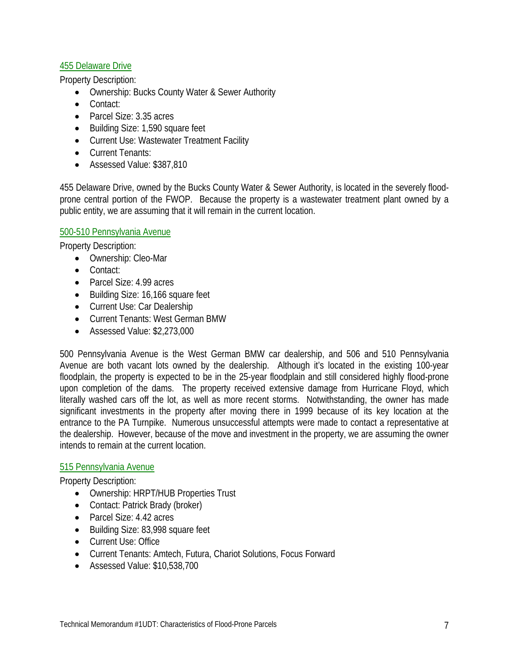## 455 Delaware Drive

Property Description:

- Ownership: Bucks County Water & Sewer Authority
- Contact:
- Parcel Size: 3.35 acres
- Building Size: 1,590 square feet
- Current Use: Wastewater Treatment Facility
- Current Tenants:
- Assessed Value: \$387,810

455 Delaware Drive, owned by the Bucks County Water & Sewer Authority, is located in the severely floodprone central portion of the FWOP. Because the property is a wastewater treatment plant owned by a public entity, we are assuming that it will remain in the current location.

#### 500-510 Pennsylvania Avenue

Property Description:

- Ownership: Cleo-Mar
- Contact:
- Parcel Size: 4.99 acres
- Building Size: 16,166 square feet
- Current Use: Car Dealership
- Current Tenants: West German BMW
- Assessed Value: \$2,273,000

500 Pennsylvania Avenue is the West German BMW car dealership, and 506 and 510 Pennsylvania Avenue are both vacant lots owned by the dealership. Although it's located in the existing 100-year floodplain, the property is expected to be in the 25-year floodplain and still considered highly flood-prone upon completion of the dams. The property received extensive damage from Hurricane Floyd, which literally washed cars off the lot, as well as more recent storms. Notwithstanding, the owner has made significant investments in the property after moving there in 1999 because of its key location at the entrance to the PA Turnpike. Numerous unsuccessful attempts were made to contact a representative at the dealership. However, because of the move and investment in the property, we are assuming the owner intends to remain at the current location.

#### 515 Pennsylvania Avenue

- Ownership: HRPT/HUB Properties Trust
- Contact: Patrick Brady (broker)
- Parcel Size: 4.42 acres
- Building Size: 83,998 square feet
- Current Use: Office
- Current Tenants: Amtech, Futura, Chariot Solutions, Focus Forward
- Assessed Value: \$10,538,700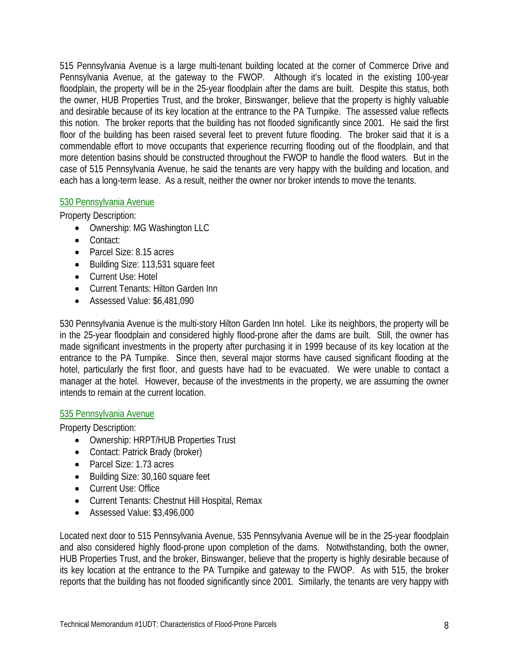515 Pennsylvania Avenue is a large multi-tenant building located at the corner of Commerce Drive and Pennsylvania Avenue, at the gateway to the FWOP. Although it's located in the existing 100-year floodplain, the property will be in the 25-year floodplain after the dams are built. Despite this status, both the owner, HUB Properties Trust, and the broker, Binswanger, believe that the property is highly valuable and desirable because of its key location at the entrance to the PA Turnpike. The assessed value reflects this notion. The broker reports that the building has not flooded significantly since 2001. He said the first floor of the building has been raised several feet to prevent future flooding. The broker said that it is a commendable effort to move occupants that experience recurring flooding out of the floodplain, and that more detention basins should be constructed throughout the FWOP to handle the flood waters. But in the case of 515 Pennsylvania Avenue, he said the tenants are very happy with the building and location, and each has a long-term lease. As a result, neither the owner nor broker intends to move the tenants.

#### 530 Pennsylvania Avenue

Property Description:

- Ownership: MG Washington LLC
- Contact:
- Parcel Size: 8.15 acres
- Building Size: 113,531 square feet
- Current Use: Hotel
- Current Tenants: Hilton Garden Inn
- Assessed Value: \$6,481,090

530 Pennsylvania Avenue is the multi-story Hilton Garden Inn hotel. Like its neighbors, the property will be in the 25-year floodplain and considered highly flood-prone after the dams are built. Still, the owner has made significant investments in the property after purchasing it in 1999 because of its key location at the entrance to the PA Turnpike. Since then, several major storms have caused significant flooding at the hotel, particularly the first floor, and guests have had to be evacuated. We were unable to contact a manager at the hotel. However, because of the investments in the property, we are assuming the owner intends to remain at the current location.

#### 535 Pennsylvania Avenue

Property Description:

- Ownership: HRPT/HUB Properties Trust
- Contact: Patrick Brady (broker)
- Parcel Size: 1.73 acres
- Building Size: 30,160 square feet
- Current Use: Office
- Current Tenants: Chestnut Hill Hospital, Remax
- Assessed Value: \$3,496,000

Located next door to 515 Pennsylvania Avenue, 535 Pennsylvania Avenue will be in the 25-year floodplain and also considered highly flood-prone upon completion of the dams. Notwithstanding, both the owner, HUB Properties Trust, and the broker, Binswanger, believe that the property is highly desirable because of its key location at the entrance to the PA Turnpike and gateway to the FWOP. As with 515, the broker reports that the building has not flooded significantly since 2001. Similarly, the tenants are very happy with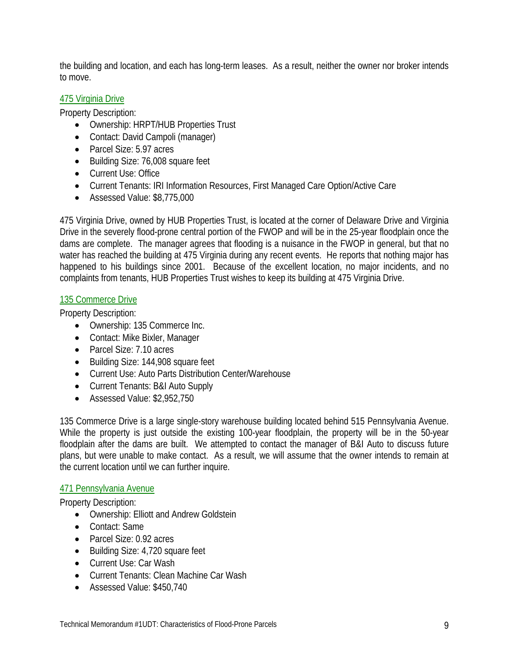the building and location, and each has long-term leases. As a result, neither the owner nor broker intends to move.

#### 475 Virginia Drive

Property Description:

- Ownership: HRPT/HUB Properties Trust
- Contact: David Campoli (manager)
- Parcel Size: 5.97 acres
- Building Size: 76,008 square feet
- Current Use: Office
- Current Tenants: IRI Information Resources, First Managed Care Option/Active Care
- Assessed Value: \$8,775,000

475 Virginia Drive, owned by HUB Properties Trust, is located at the corner of Delaware Drive and Virginia Drive in the severely flood-prone central portion of the FWOP and will be in the 25-year floodplain once the dams are complete. The manager agrees that flooding is a nuisance in the FWOP in general, but that no water has reached the building at 475 Virginia during any recent events. He reports that nothing major has happened to his buildings since 2001. Because of the excellent location, no major incidents, and no complaints from tenants, HUB Properties Trust wishes to keep its building at 475 Virginia Drive.

## 135 Commerce Drive

Property Description:

- Ownership: 135 Commerce Inc.
- Contact: Mike Bixler, Manager
- Parcel Size: 7.10 acres
- Building Size: 144,908 square feet
- Current Use: Auto Parts Distribution Center/Warehouse
- Current Tenants: B&I Auto Supply
- Assessed Value: \$2,952,750

135 Commerce Drive is a large single-story warehouse building located behind 515 Pennsylvania Avenue. While the property is just outside the existing 100-year floodplain, the property will be in the 50-year floodplain after the dams are built. We attempted to contact the manager of B&I Auto to discuss future plans, but were unable to make contact. As a result, we will assume that the owner intends to remain at the current location until we can further inquire.

#### 471 Pennsylvania Avenue

- Ownership: Elliott and Andrew Goldstein
- Contact: Same
- Parcel Size: 0.92 acres
- Building Size: 4,720 square feet
- Current Use: Car Wash
- Current Tenants: Clean Machine Car Wash
- Assessed Value: \$450,740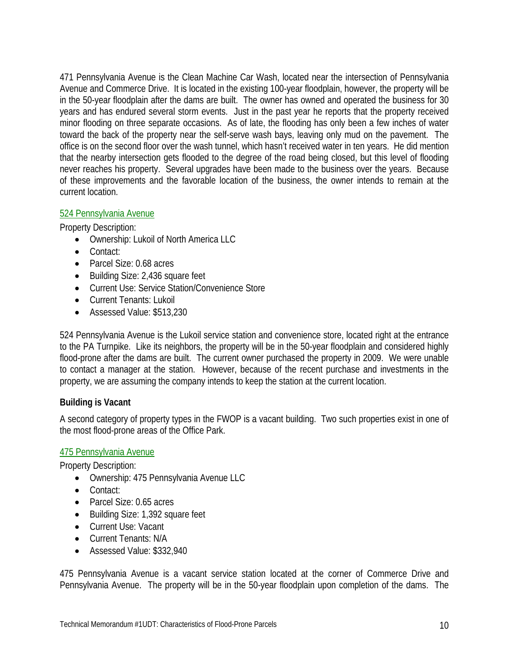471 Pennsylvania Avenue is the Clean Machine Car Wash, located near the intersection of Pennsylvania Avenue and Commerce Drive. It is located in the existing 100-year floodplain, however, the property will be in the 50-year floodplain after the dams are built. The owner has owned and operated the business for 30 years and has endured several storm events. Just in the past year he reports that the property received minor flooding on three separate occasions. As of late, the flooding has only been a few inches of water toward the back of the property near the self-serve wash bays, leaving only mud on the pavement. The office is on the second floor over the wash tunnel, which hasn't received water in ten years. He did mention that the nearby intersection gets flooded to the degree of the road being closed, but this level of flooding never reaches his property. Several upgrades have been made to the business over the years. Because of these improvements and the favorable location of the business, the owner intends to remain at the current location.

## 524 Pennsylvania Avenue

Property Description:

- Ownership: Lukoil of North America LLC
- Contact:
- Parcel Size: 0.68 acres
- Building Size: 2,436 square feet
- Current Use: Service Station/Convenience Store
- Current Tenants: Lukoil
- Assessed Value: \$513,230

524 Pennsylvania Avenue is the Lukoil service station and convenience store, located right at the entrance to the PA Turnpike. Like its neighbors, the property will be in the 50-year floodplain and considered highly flood-prone after the dams are built. The current owner purchased the property in 2009. We were unable to contact a manager at the station. However, because of the recent purchase and investments in the property, we are assuming the company intends to keep the station at the current location.

#### **Building is Vacant**

A second category of property types in the FWOP is a vacant building. Two such properties exist in one of the most flood-prone areas of the Office Park.

#### 475 Pennsylvania Avenue

Property Description:

- Ownership: 475 Pennsylvania Avenue LLC
- Contact:
- Parcel Size: 0.65 acres
- Building Size: 1,392 square feet
- Current Use: Vacant
- Current Tenants: N/A
- Assessed Value: \$332,940

475 Pennsylvania Avenue is a vacant service station located at the corner of Commerce Drive and Pennsylvania Avenue. The property will be in the 50-year floodplain upon completion of the dams. The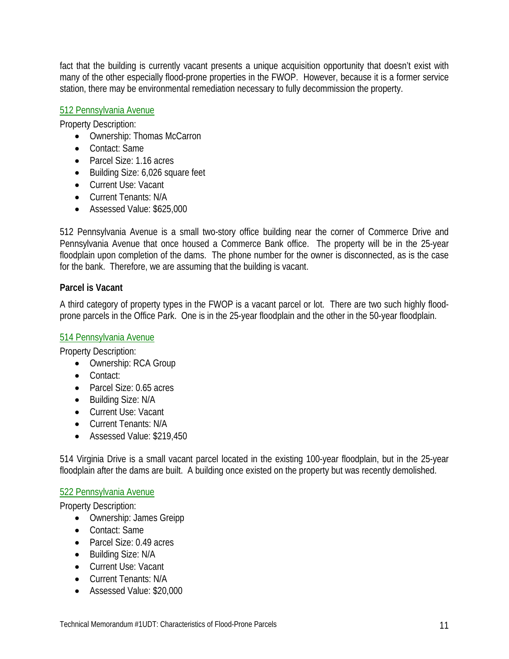fact that the building is currently vacant presents a unique acquisition opportunity that doesn't exist with many of the other especially flood-prone properties in the FWOP. However, because it is a former service station, there may be environmental remediation necessary to fully decommission the property.

#### 512 Pennsylvania Avenue

Property Description:

- Ownership: Thomas McCarron
- Contact: Same
- Parcel Size: 1.16 acres
- Building Size: 6,026 square feet
- Current Use: Vacant
- Current Tenants: N/A
- Assessed Value: \$625,000

512 Pennsylvania Avenue is a small two-story office building near the corner of Commerce Drive and Pennsylvania Avenue that once housed a Commerce Bank office. The property will be in the 25-year floodplain upon completion of the dams. The phone number for the owner is disconnected, as is the case for the bank. Therefore, we are assuming that the building is vacant.

#### **Parcel is Vacant**

A third category of property types in the FWOP is a vacant parcel or lot. There are two such highly floodprone parcels in the Office Park. One is in the 25-year floodplain and the other in the 50-year floodplain.

#### 514 Pennsylvania Avenue

Property Description:

- Ownership: RCA Group
- Contact:
- Parcel Size: 0.65 acres
- Building Size: N/A
- Current Use: Vacant
- Current Tenants: N/A
- Assessed Value: \$219,450

514 Virginia Drive is a small vacant parcel located in the existing 100-year floodplain, but in the 25-year floodplain after the dams are built. A building once existed on the property but was recently demolished.

#### 522 Pennsylvania Avenue

- Ownership: James Greipp
- Contact: Same
- Parcel Size: 0.49 acres
- Building Size: N/A
- Current Use: Vacant
- Current Tenants: N/A
- Assessed Value: \$20,000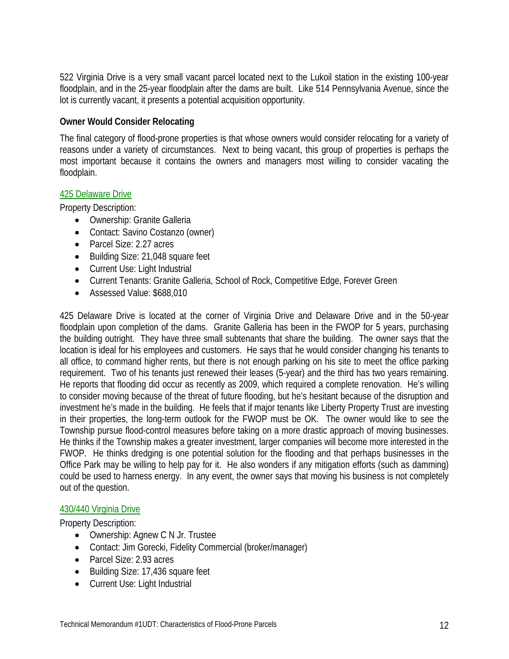522 Virginia Drive is a very small vacant parcel located next to the Lukoil station in the existing 100-year floodplain, and in the 25-year floodplain after the dams are built. Like 514 Pennsylvania Avenue, since the lot is currently vacant, it presents a potential acquisition opportunity.

#### **Owner Would Consider Relocating**

The final category of flood-prone properties is that whose owners would consider relocating for a variety of reasons under a variety of circumstances. Next to being vacant, this group of properties is perhaps the most important because it contains the owners and managers most willing to consider vacating the floodplain.

#### 425 Delaware Drive

Property Description:

- Ownership: Granite Galleria
- Contact: Savino Costanzo (owner)
- Parcel Size: 2.27 acres
- Building Size: 21,048 square feet
- Current Use: Light Industrial
- Current Tenants: Granite Galleria, School of Rock, Competitive Edge, Forever Green
- Assessed Value: \$688,010

425 Delaware Drive is located at the corner of Virginia Drive and Delaware Drive and in the 50-year floodplain upon completion of the dams. Granite Galleria has been in the FWOP for 5 years, purchasing the building outright. They have three small subtenants that share the building. The owner says that the location is ideal for his employees and customers. He says that he would consider changing his tenants to all office, to command higher rents, but there is not enough parking on his site to meet the office parking requirement. Two of his tenants just renewed their leases (5-year) and the third has two years remaining. He reports that flooding did occur as recently as 2009, which required a complete renovation. He's willing to consider moving because of the threat of future flooding, but he's hesitant because of the disruption and investment he's made in the building. He feels that if major tenants like Liberty Property Trust are investing in their properties, the long-term outlook for the FWOP must be OK. The owner would like to see the Township pursue flood-control measures before taking on a more drastic approach of moving businesses. He thinks if the Township makes a greater investment, larger companies will become more interested in the FWOP. He thinks dredging is one potential solution for the flooding and that perhaps businesses in the Office Park may be willing to help pay for it. He also wonders if any mitigation efforts (such as damming) could be used to harness energy. In any event, the owner says that moving his business is not completely out of the question.

#### 430/440 Virginia Drive

- Ownership: Agnew C N Jr. Trustee
- Contact: Jim Gorecki, Fidelity Commercial (broker/manager)
- Parcel Size: 2.93 acres
- Building Size: 17,436 square feet
- Current Use: Light Industrial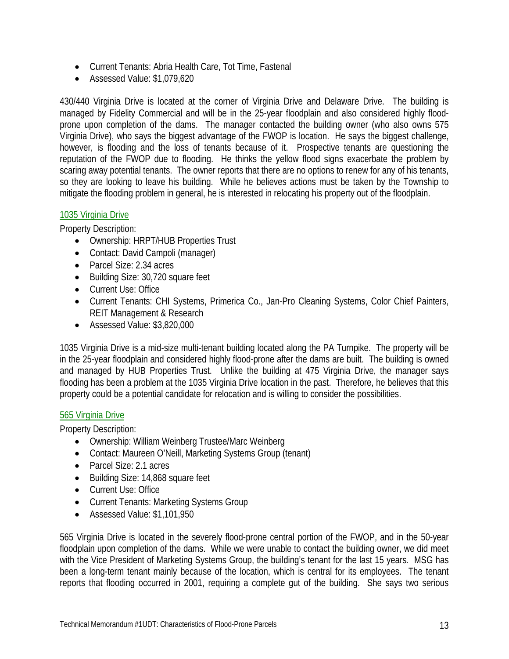- Current Tenants: Abria Health Care, Tot Time, Fastenal
- Assessed Value: \$1,079,620

430/440 Virginia Drive is located at the corner of Virginia Drive and Delaware Drive. The building is managed by Fidelity Commercial and will be in the 25-year floodplain and also considered highly floodprone upon completion of the dams. The manager contacted the building owner (who also owns 575 Virginia Drive), who says the biggest advantage of the FWOP is location. He says the biggest challenge, however, is flooding and the loss of tenants because of it. Prospective tenants are questioning the reputation of the FWOP due to flooding. He thinks the yellow flood signs exacerbate the problem by scaring away potential tenants. The owner reports that there are no options to renew for any of his tenants, so they are looking to leave his building. While he believes actions must be taken by the Township to mitigate the flooding problem in general, he is interested in relocating his property out of the floodplain.

#### 1035 Virginia Drive

Property Description:

- Ownership: HRPT/HUB Properties Trust
- Contact: David Campoli (manager)
- Parcel Size: 2.34 acres
- Building Size: 30,720 square feet
- Current Use: Office
- Current Tenants: CHI Systems, Primerica Co., Jan-Pro Cleaning Systems, Color Chief Painters, REIT Management & Research
- Assessed Value: \$3,820,000

1035 Virginia Drive is a mid-size multi-tenant building located along the PA Turnpike. The property will be in the 25-year floodplain and considered highly flood-prone after the dams are built. The building is owned and managed by HUB Properties Trust. Unlike the building at 475 Virginia Drive, the manager says flooding has been a problem at the 1035 Virginia Drive location in the past. Therefore, he believes that this property could be a potential candidate for relocation and is willing to consider the possibilities.

#### 565 Virginia Drive

Property Description:

- Ownership: William Weinberg Trustee/Marc Weinberg
- Contact: Maureen O'Neill, Marketing Systems Group (tenant)
- Parcel Size: 2.1 acres
- Building Size: 14,868 square feet
- Current Use: Office
- Current Tenants: Marketing Systems Group
- Assessed Value: \$1,101,950

565 Virginia Drive is located in the severely flood-prone central portion of the FWOP, and in the 50-year floodplain upon completion of the dams. While we were unable to contact the building owner, we did meet with the Vice President of Marketing Systems Group, the building's tenant for the last 15 years. MSG has been a long-term tenant mainly because of the location, which is central for its employees. The tenant reports that flooding occurred in 2001, requiring a complete gut of the building. She says two serious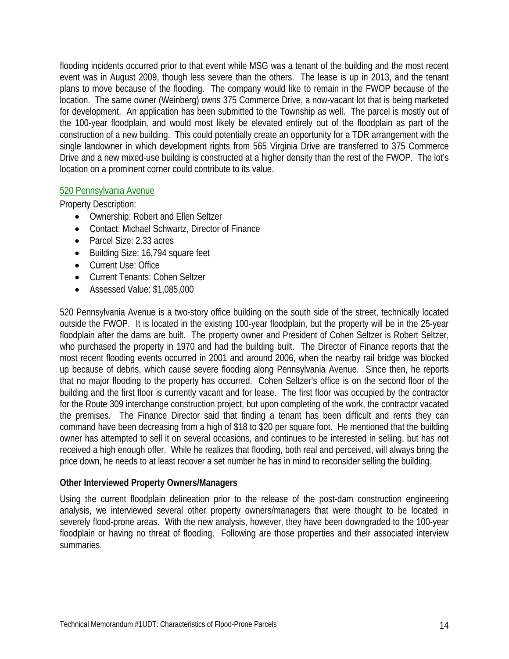flooding incidents occurred prior to that event while MSG was a tenant of the building and the most recent event was in August 2009, though less severe than the others. The lease is up in 2013, and the tenant plans to move because of the flooding. The company would like to remain in the FWOP because of the location. The same owner (Weinberg) owns 375 Commerce Drive, a now-vacant lot that is being marketed for development. An application has been submitted to the Township as well. The parcel is mostly out of the 100-year floodplain, and would most likely be elevated entirely out of the floodplain as part of the construction of a new building. This could potentially create an opportunity for a TDR arrangement with the single landowner in which development rights from 565 Virginia Drive are transferred to 375 Commerce Drive and a new mixed-use building is constructed at a higher density than the rest of the FWOP. The lot's location on a prominent corner could contribute to its value.

#### 520 Pennsylvania Avenue

Property Description:

- Ownership: Robert and Ellen Seltzer
- Contact: Michael Schwartz, Director of Finance
- Parcel Size: 2.33 acres
- Building Size: 16,794 square feet
- Current Use: Office
- Current Tenants: Cohen Seltzer
- Assessed Value: \$1,085,000

520 Pennsylvania Avenue is a two-story office building on the south side of the street, technically located outside the FWOP. It is located in the existing 100-year floodplain, but the property will be in the 25-year floodplain after the dams are built. The property owner and President of Cohen Seltzer is Robert Seltzer, who purchased the property in 1970 and had the building built. The Director of Finance reports that the most recent flooding events occurred in 2001 and around 2006, when the nearby rail bridge was blocked up because of debris, which cause severe flooding along Pennsylvania Avenue. Since then, he reports that no major flooding to the property has occurred. Cohen Seltzer's office is on the second floor of the building and the first floor is currently vacant and for lease. The first floor was occupied by the contractor for the Route 309 interchange construction project, but upon completing of the work, the contractor vacated the premises. The Finance Director said that finding a tenant has been difficult and rents they can command have been decreasing from a high of \$18 to \$20 per square foot. He mentioned that the building owner has attempted to sell it on several occasions, and continues to be interested in selling, but has not received a high enough offer. While he realizes that flooding, both real and perceived, will always bring the price down, he needs to at least recover a set number he has in mind to reconsider selling the building.

#### **Other Interviewed Property Owners/Managers**

Using the current floodplain delineation prior to the release of the post-dam construction engineering analysis, we interviewed several other property owners/managers that were thought to be located in severely flood-prone areas. With the new analysis, however, they have been downgraded to the 100-year floodplain or having no threat of flooding. Following are those properties and their associated interview summaries.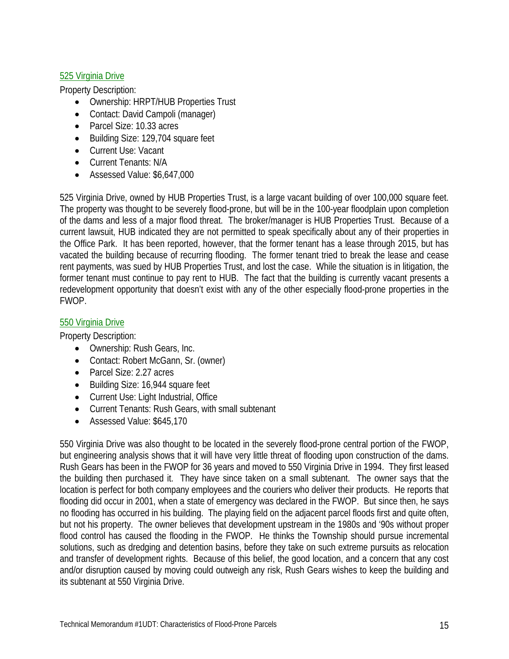## 525 Virginia Drive

Property Description:

- Ownership: HRPT/HUB Properties Trust
- Contact: David Campoli (manager)
- Parcel Size: 10.33 acres
- Building Size: 129,704 square feet
- Current Use: Vacant
- Current Tenants: N/A
- Assessed Value: \$6,647,000

525 Virginia Drive, owned by HUB Properties Trust, is a large vacant building of over 100,000 square feet. The property was thought to be severely flood-prone, but will be in the 100-year floodplain upon completion of the dams and less of a major flood threat. The broker/manager is HUB Properties Trust. Because of a current lawsuit, HUB indicated they are not permitted to speak specifically about any of their properties in the Office Park. It has been reported, however, that the former tenant has a lease through 2015, but has vacated the building because of recurring flooding. The former tenant tried to break the lease and cease rent payments, was sued by HUB Properties Trust, and lost the case. While the situation is in litigation, the former tenant must continue to pay rent to HUB. The fact that the building is currently vacant presents a redevelopment opportunity that doesn't exist with any of the other especially flood-prone properties in the FWOP.

## 550 Virginia Drive

Property Description:

- Ownership: Rush Gears, Inc.
- Contact: Robert McGann, Sr. (owner)
- Parcel Size: 2.27 acres
- Building Size: 16,944 square feet
- Current Use: Light Industrial, Office
- Current Tenants: Rush Gears, with small subtenant
- Assessed Value: \$645,170

550 Virginia Drive was also thought to be located in the severely flood-prone central portion of the FWOP, but engineering analysis shows that it will have very little threat of flooding upon construction of the dams. Rush Gears has been in the FWOP for 36 years and moved to 550 Virginia Drive in 1994. They first leased the building then purchased it. They have since taken on a small subtenant. The owner says that the location is perfect for both company employees and the couriers who deliver their products. He reports that flooding did occur in 2001, when a state of emergency was declared in the FWOP. But since then, he says no flooding has occurred in his building. The playing field on the adjacent parcel floods first and quite often, but not his property. The owner believes that development upstream in the 1980s and '90s without proper flood control has caused the flooding in the FWOP. He thinks the Township should pursue incremental solutions, such as dredging and detention basins, before they take on such extreme pursuits as relocation and transfer of development rights. Because of this belief, the good location, and a concern that any cost and/or disruption caused by moving could outweigh any risk, Rush Gears wishes to keep the building and its subtenant at 550 Virginia Drive.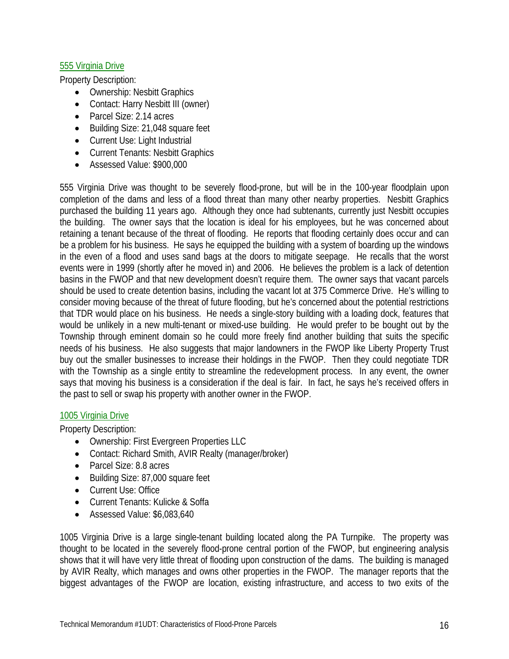## 555 Virginia Drive

Property Description:

- Ownership: Nesbitt Graphics
- Contact: Harry Nesbitt III (owner)
- Parcel Size: 2.14 acres
- Building Size: 21,048 square feet
- Current Use: Light Industrial
- Current Tenants: Nesbitt Graphics
- Assessed Value: \$900,000

555 Virginia Drive was thought to be severely flood-prone, but will be in the 100-year floodplain upon completion of the dams and less of a flood threat than many other nearby properties. Nesbitt Graphics purchased the building 11 years ago. Although they once had subtenants, currently just Nesbitt occupies the building. The owner says that the location is ideal for his employees, but he was concerned about retaining a tenant because of the threat of flooding. He reports that flooding certainly does occur and can be a problem for his business. He says he equipped the building with a system of boarding up the windows in the even of a flood and uses sand bags at the doors to mitigate seepage. He recalls that the worst events were in 1999 (shortly after he moved in) and 2006. He believes the problem is a lack of detention basins in the FWOP and that new development doesn't require them. The owner says that vacant parcels should be used to create detention basins, including the vacant lot at 375 Commerce Drive. He's willing to consider moving because of the threat of future flooding, but he's concerned about the potential restrictions that TDR would place on his business. He needs a single-story building with a loading dock, features that would be unlikely in a new multi-tenant or mixed-use building. He would prefer to be bought out by the Township through eminent domain so he could more freely find another building that suits the specific needs of his business. He also suggests that major landowners in the FWOP like Liberty Property Trust buy out the smaller businesses to increase their holdings in the FWOP. Then they could negotiate TDR with the Township as a single entity to streamline the redevelopment process. In any event, the owner says that moving his business is a consideration if the deal is fair. In fact, he says he's received offers in the past to sell or swap his property with another owner in the FWOP.

#### 1005 Virginia Drive

Property Description:

- Ownership: First Evergreen Properties LLC
- Contact: Richard Smith, AVIR Realty (manager/broker)
- Parcel Size: 8.8 acres
- Building Size: 87,000 square feet
- Current Use: Office
- Current Tenants: Kulicke & Soffa
- Assessed Value: \$6,083,640

1005 Virginia Drive is a large single-tenant building located along the PA Turnpike. The property was thought to be located in the severely flood-prone central portion of the FWOP, but engineering analysis shows that it will have very little threat of flooding upon construction of the dams. The building is managed by AVIR Realty, which manages and owns other properties in the FWOP. The manager reports that the biggest advantages of the FWOP are location, existing infrastructure, and access to two exits of the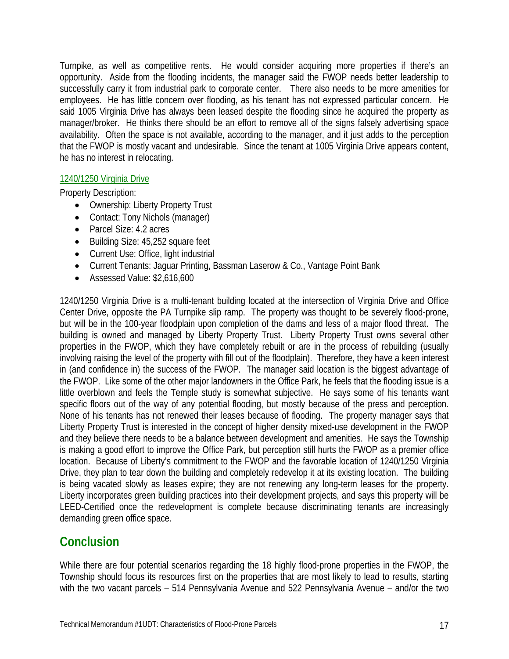Turnpike, as well as competitive rents. He would consider acquiring more properties if there's an opportunity. Aside from the flooding incidents, the manager said the FWOP needs better leadership to successfully carry it from industrial park to corporate center. There also needs to be more amenities for employees. He has little concern over flooding, as his tenant has not expressed particular concern. He said 1005 Virginia Drive has always been leased despite the flooding since he acquired the property as manager/broker. He thinks there should be an effort to remove all of the signs falsely advertising space availability. Often the space is not available, according to the manager, and it just adds to the perception that the FWOP is mostly vacant and undesirable. Since the tenant at 1005 Virginia Drive appears content, he has no interest in relocating.

#### 1240/1250 Virginia Drive

Property Description:

- Ownership: Liberty Property Trust
- Contact: Tony Nichols (manager)
- Parcel Size: 4.2 acres
- Building Size: 45,252 square feet
- Current Use: Office, light industrial
- Current Tenants: Jaguar Printing, Bassman Laserow & Co., Vantage Point Bank
- Assessed Value: \$2,616,600

1240/1250 Virginia Drive is a multi-tenant building located at the intersection of Virginia Drive and Office Center Drive, opposite the PA Turnpike slip ramp. The property was thought to be severely flood-prone, but will be in the 100-year floodplain upon completion of the dams and less of a major flood threat. The building is owned and managed by Liberty Property Trust. Liberty Property Trust owns several other properties in the FWOP, which they have completely rebuilt or are in the process of rebuilding (usually involving raising the level of the property with fill out of the floodplain). Therefore, they have a keen interest in (and confidence in) the success of the FWOP. The manager said location is the biggest advantage of the FWOP. Like some of the other major landowners in the Office Park, he feels that the flooding issue is a little overblown and feels the Temple study is somewhat subjective. He says some of his tenants want specific floors out of the way of any potential flooding, but mostly because of the press and perception. None of his tenants has not renewed their leases because of flooding. The property manager says that Liberty Property Trust is interested in the concept of higher density mixed-use development in the FWOP and they believe there needs to be a balance between development and amenities. He says the Township is making a good effort to improve the Office Park, but perception still hurts the FWOP as a premier office location. Because of Liberty's commitment to the FWOP and the favorable location of 1240/1250 Virginia Drive, they plan to tear down the building and completely redevelop it at its existing location. The building is being vacated slowly as leases expire; they are not renewing any long-term leases for the property. Liberty incorporates green building practices into their development projects, and says this property will be LEED-Certified once the redevelopment is complete because discriminating tenants are increasingly demanding green office space.

# **Conclusion**

While there are four potential scenarios regarding the 18 highly flood-prone properties in the FWOP, the Township should focus its resources first on the properties that are most likely to lead to results, starting with the two vacant parcels – 514 Pennsylvania Avenue and 522 Pennsylvania Avenue – and/or the two